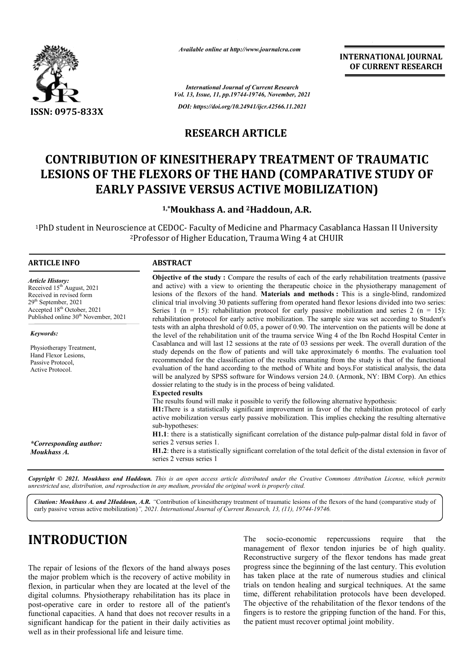

*Available online at http://www.journalcra.com*

#### **RESEARCH ARTICLE**

## **CONTRIBUTION OF KINESITHERAPY TREATMENT OF TRAUMATIC**  LESIONS OF THE FLEXORS OF THE HAND (COMPARATIVE STUDY OF<br>EARLY PASSIVE VERSUS ACTIVE MOBILIZATION) **EARLY PASSIVE VERSUS ACTIVE MOBILIZATION)**

#### 1,\*Moukhass A. and <sup>2</sup>Haddoun, A.R.

|                                                                                                                                                                                                                                                                                                                                                                                                                                                                               |                                                                                                                                                                                                                                                                                                                                                                                                                                                                                                                                                                                                                                                                                                                                                                                                                                                                                                                                                                                                                                                                                                                                                                                                                                                                                                                                                                                                                                                                                                                                                                                                                                                                                                                                                                                                                                                                                                                                                                                                                                                                                                                         | лтините опине игнир.// www.journaicra.com<br><b>INTERNATIONAL JOURNAL</b><br>OF CURRENT RESEARCH                                                                                                                                                                                                                                                                                             |  |
|-------------------------------------------------------------------------------------------------------------------------------------------------------------------------------------------------------------------------------------------------------------------------------------------------------------------------------------------------------------------------------------------------------------------------------------------------------------------------------|-------------------------------------------------------------------------------------------------------------------------------------------------------------------------------------------------------------------------------------------------------------------------------------------------------------------------------------------------------------------------------------------------------------------------------------------------------------------------------------------------------------------------------------------------------------------------------------------------------------------------------------------------------------------------------------------------------------------------------------------------------------------------------------------------------------------------------------------------------------------------------------------------------------------------------------------------------------------------------------------------------------------------------------------------------------------------------------------------------------------------------------------------------------------------------------------------------------------------------------------------------------------------------------------------------------------------------------------------------------------------------------------------------------------------------------------------------------------------------------------------------------------------------------------------------------------------------------------------------------------------------------------------------------------------------------------------------------------------------------------------------------------------------------------------------------------------------------------------------------------------------------------------------------------------------------------------------------------------------------------------------------------------------------------------------------------------------------------------------------------------|----------------------------------------------------------------------------------------------------------------------------------------------------------------------------------------------------------------------------------------------------------------------------------------------------------------------------------------------------------------------------------------------|--|
|                                                                                                                                                                                                                                                                                                                                                                                                                                                                               |                                                                                                                                                                                                                                                                                                                                                                                                                                                                                                                                                                                                                                                                                                                                                                                                                                                                                                                                                                                                                                                                                                                                                                                                                                                                                                                                                                                                                                                                                                                                                                                                                                                                                                                                                                                                                                                                                                                                                                                                                                                                                                                         | <b>International Journal of Current Research</b><br>Vol. 13, Issue, 11, pp.19744-19746, November, 2021                                                                                                                                                                                                                                                                                       |  |
| ISSN: 0975-833X                                                                                                                                                                                                                                                                                                                                                                                                                                                               |                                                                                                                                                                                                                                                                                                                                                                                                                                                                                                                                                                                                                                                                                                                                                                                                                                                                                                                                                                                                                                                                                                                                                                                                                                                                                                                                                                                                                                                                                                                                                                                                                                                                                                                                                                                                                                                                                                                                                                                                                                                                                                                         | DOI: https://doi.org/10.24941/ijcr.42566.11.2021                                                                                                                                                                                                                                                                                                                                             |  |
|                                                                                                                                                                                                                                                                                                                                                                                                                                                                               | <b>RESEARCH ARTICLE</b>                                                                                                                                                                                                                                                                                                                                                                                                                                                                                                                                                                                                                                                                                                                                                                                                                                                                                                                                                                                                                                                                                                                                                                                                                                                                                                                                                                                                                                                                                                                                                                                                                                                                                                                                                                                                                                                                                                                                                                                                                                                                                                 |                                                                                                                                                                                                                                                                                                                                                                                              |  |
|                                                                                                                                                                                                                                                                                                                                                                                                                                                                               |                                                                                                                                                                                                                                                                                                                                                                                                                                                                                                                                                                                                                                                                                                                                                                                                                                                                                                                                                                                                                                                                                                                                                                                                                                                                                                                                                                                                                                                                                                                                                                                                                                                                                                                                                                                                                                                                                                                                                                                                                                                                                                                         |                                                                                                                                                                                                                                                                                                                                                                                              |  |
|                                                                                                                                                                                                                                                                                                                                                                                                                                                                               |                                                                                                                                                                                                                                                                                                                                                                                                                                                                                                                                                                                                                                                                                                                                                                                                                                                                                                                                                                                                                                                                                                                                                                                                                                                                                                                                                                                                                                                                                                                                                                                                                                                                                                                                                                                                                                                                                                                                                                                                                                                                                                                         | <b>CONTRIBUTION OF KINESITHERAPY TREATMENT OF TRAUMATIC</b><br>LESIONS OF THE FLEXORS OF THE HAND (COMPARATIVE STUDY OF<br><b>EARLY PASSIVE VERSUS ACTIVE MOBILIZATION)</b>                                                                                                                                                                                                                  |  |
|                                                                                                                                                                                                                                                                                                                                                                                                                                                                               |                                                                                                                                                                                                                                                                                                                                                                                                                                                                                                                                                                                                                                                                                                                                                                                                                                                                                                                                                                                                                                                                                                                                                                                                                                                                                                                                                                                                                                                                                                                                                                                                                                                                                                                                                                                                                                                                                                                                                                                                                                                                                                                         | <sup>1,*</sup> Moukhass A. and <sup>2</sup> Haddoun, A.R.                                                                                                                                                                                                                                                                                                                                    |  |
|                                                                                                                                                                                                                                                                                                                                                                                                                                                                               |                                                                                                                                                                                                                                                                                                                                                                                                                                                                                                                                                                                                                                                                                                                                                                                                                                                                                                                                                                                                                                                                                                                                                                                                                                                                                                                                                                                                                                                                                                                                                                                                                                                                                                                                                                                                                                                                                                                                                                                                                                                                                                                         | <sup>1</sup> PhD student in Neuroscience at CEDOC- Faculty of Medicine and Pharmacy Casablanca Hassan II University<br><sup>2</sup> Professor of Higher Education, Trauma Wing 4 at CHUIR                                                                                                                                                                                                    |  |
| <b>ARTICLE INFO</b>                                                                                                                                                                                                                                                                                                                                                                                                                                                           | <b>ABSTRACT</b>                                                                                                                                                                                                                                                                                                                                                                                                                                                                                                                                                                                                                                                                                                                                                                                                                                                                                                                                                                                                                                                                                                                                                                                                                                                                                                                                                                                                                                                                                                                                                                                                                                                                                                                                                                                                                                                                                                                                                                                                                                                                                                         |                                                                                                                                                                                                                                                                                                                                                                                              |  |
| <b>Article History:</b><br>Received 15 <sup>th</sup> August, 2021<br>Received in revised form<br>29 <sup>th</sup> September, 2021<br>Accepted 18 <sup>th</sup> October, 2021<br>Published online 30 <sup>th</sup> November, 2021<br>Keywords:<br>Physiotherapy Treatment,<br>Hand Flexor Lesions,<br>Passive Protocol,<br>Active Protocol.<br>*Corresponding author:<br>Moukhass A.                                                                                           | Objective of the study: Compare the results of each of the early rehabilitation treatments (passive<br>and active) with a view to orienting the therapeutic choice in the physiotherapy management of<br>lesions of the flexors of the hand. Materials and methods: This is a single-blind, randomized<br>clinical trial involving 30 patients suffering from operated hand flexor lesions divided into two series:<br>Series 1 ( $n = 15$ ): rehabilitation protocol for early passive mobilization and series 2 ( $n = 15$ ):<br>rehabilitation protocol for early active mobilization. The sample size was set according to Student's<br>tests with an alpha threshold of 0.05, a power of 0.90. The intervention on the patients will be done at<br>the level of the rehabilitation unit of the trauma service Wing 4 of the Ibn Rochd Hospital Center in<br>Casablanca and will last 12 sessions at the rate of 03 sessions per week. The overall duration of the<br>study depends on the flow of patients and will take approximately 6 months. The evaluation tool<br>recommended for the classification of the results emanating from the study is that of the functional<br>evaluation of the hand according to the method of White and boys. For statistical analysis, the data<br>will be analyzed by SPSS software for Windows version 24.0. (Armonk, NY: IBM Corp). An ethics<br>dossier relating to the study is in the process of being validated.<br><b>Expected results</b><br>The results found will make it possible to verify the following alternative hypothesis:<br>H1: There is a statistically significant improvement in favor of the rehabilitation protocol of early<br>active mobilization versus early passive mobilization. This implies checking the resulting alternative<br>sub-hypotheses:<br>H1.1: there is a statistically significant correlation of the distance pulp-palmar distal fold in favor of<br>series 2 versus series 1.<br>H1.2: there is a statistically significant correlation of the total deficit of the distal extension in favor of<br>series 2 versus series 1 |                                                                                                                                                                                                                                                                                                                                                                                              |  |
| unrestricted use, distribution, and reproduction in any medium, provided the original work is properly cited.                                                                                                                                                                                                                                                                                                                                                                 |                                                                                                                                                                                                                                                                                                                                                                                                                                                                                                                                                                                                                                                                                                                                                                                                                                                                                                                                                                                                                                                                                                                                                                                                                                                                                                                                                                                                                                                                                                                                                                                                                                                                                                                                                                                                                                                                                                                                                                                                                                                                                                                         | Copyright © 2021. Moukhass and Haddoun. This is an open access article distributed under the Creative Commons Attribution License, which permits                                                                                                                                                                                                                                             |  |
| early passive versus active mobilization)", 2021. International Journal of Current Research, 13, (11), 19744-19746.                                                                                                                                                                                                                                                                                                                                                           |                                                                                                                                                                                                                                                                                                                                                                                                                                                                                                                                                                                                                                                                                                                                                                                                                                                                                                                                                                                                                                                                                                                                                                                                                                                                                                                                                                                                                                                                                                                                                                                                                                                                                                                                                                                                                                                                                                                                                                                                                                                                                                                         | Citation: Moukhass A. and 2Haddoun, A.R. "Contribution of kinesitherapy treatment of traumatic lesions of the flexors of the hand (comparative study of                                                                                                                                                                                                                                      |  |
| <b>INTRODUCTION</b>                                                                                                                                                                                                                                                                                                                                                                                                                                                           |                                                                                                                                                                                                                                                                                                                                                                                                                                                                                                                                                                                                                                                                                                                                                                                                                                                                                                                                                                                                                                                                                                                                                                                                                                                                                                                                                                                                                                                                                                                                                                                                                                                                                                                                                                                                                                                                                                                                                                                                                                                                                                                         | The<br>socio-economic<br>repercussions<br>require<br>that<br>the<br>management of flexor tendon injuries be of high quality.<br>Reconstructive surgery of the flexor tendons has made great<br>progress since the beginning of the last century. This evolution                                                                                                                              |  |
| The repair of lesions of the flexors of the hand always poses<br>the major problem which is the recovery of active mobility in<br>flexion, in particular when they are located at the level of the<br>digital columns. Physiotherapy rehabilitation has its place in<br>post-operative care in order to restore all of the patient's<br>functional capacities. A hand that does not recover results in a<br>significant handicap for the patient in their daily activities as |                                                                                                                                                                                                                                                                                                                                                                                                                                                                                                                                                                                                                                                                                                                                                                                                                                                                                                                                                                                                                                                                                                                                                                                                                                                                                                                                                                                                                                                                                                                                                                                                                                                                                                                                                                                                                                                                                                                                                                                                                                                                                                                         | has taken place at the rate of numerous studies and clinical<br>trials on tendon healing and surgical techniques. At the same<br>time, different rehabilitation protocols have been developed.<br>The objective of the rehabilitation of the flexor tendons of the<br>fingers is to restore the gripping function of the hand. For this,<br>the patient must recover optimal joint mobility. |  |

# **INTRODUCTION**

The repair of lesions of the flexors of the hand always poses the major problem which is the recovery of active mobility in flexion, in particular when they are located at the level of the digital columns. Physiotherapy rehabilitation has its place in post-operative care in order to restore all of the patient's functional capacities. A hand that does not recover results in a significant handicap for the patient in their daily activities as well as in their professional life and leisure time.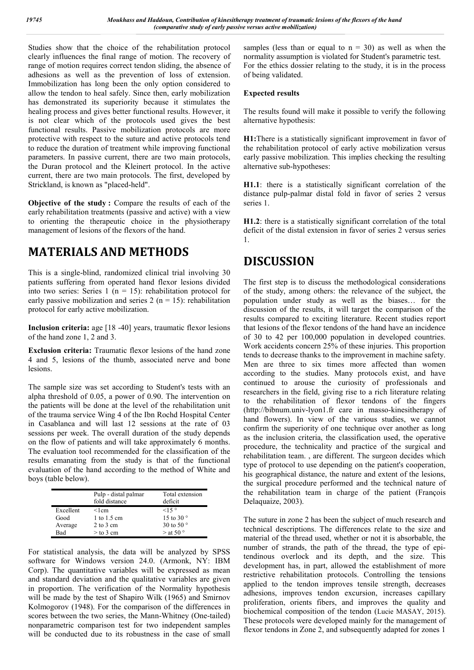Studies show that the choice of the rehabilitation protocol clearly influences the final range of motion. The recovery of range of motion requires correct tendon sliding, the absence of adhesions as well as the prevention of loss of extension. Immobilization has long been the only option considered to allow the tendon to heal safely. Since then, early mobilization has demonstrated its superiority because it stimulates the healing process and gives better functional results. However, it is not clear which of the protocols used gives the best functional results. Passive mobilization protocols are more protective with respect to the suture and active protocols tend to reduce the duration of treatment while improving functional parameters. In passive current, there are two main protocols, the Duran protocol and the Kleinert protocol. In the active current, there are two main protocols. The first, developed by Strickland, is known as "placed-held".

**Objective of the study :** Compare the results of each of the early rehabilitation treatments (passive and active) with a view to orienting the therapeutic choice in the physiotherapy management of lesions of the flexors of the hand.

## **MATERIALS AND METHODS**

This is a single-blind, randomized clinical trial involving 30 patients suffering from operated hand flexor lesions divided into two series: Series 1 ( $n = 15$ ): rehabilitation protocol for early passive mobilization and series 2 ( $n = 15$ ): rehabilitation protocol for early active mobilization.

**Inclusion criteria:** age [18 -40] years, traumatic flexor lesions of the hand zone 1, 2 and 3.

**Exclusion criteria:** Traumatic flexor lesions of the hand zone 4 and 5, lesions of the thumb, associated nerve and bone lesions.

The sample size was set according to Student's tests with an alpha threshold of 0.05, a power of 0.90. The intervention on the patients will be done at the level of the rehabilitation unit of the trauma service Wing 4 of the Ibn Rochd Hospital Center in Casablanca and will last 12 sessions at the rate of 03 sessions per week. The overall duration of the study depends on the flow of patients and will take approximately 6 months. The evaluation tool recommended for the classification of the results emanating from the study is that of the functional evaluation of the hand according to the method of White and boys (table below).

|            | Pulp - distal palmar<br>fold distance | Total extension<br>deficit |
|------------|---------------------------------------|----------------------------|
| Excellent  | $<$ l cm                              | <15°                       |
| Good       | 1 to $1.5 \text{ cm}$                 | 15 to 30 $\degree$         |
| Average    | $2$ to $3$ cm                         | 30 to 50 $\degree$         |
| <b>Bad</b> | $>$ to 3 cm                           | $>$ at 50 $\degree$        |

For statistical analysis, the data will be analyzed by SPSS software for Windows version 24.0. (Armonk, NY: IBM Corp). The quantitative variables will be expressed as mean and standard deviation and the qualitative variables are given in proportion. The verification of the Normality hypothesis will be made by the test of Shapiro Wilk (1965) and Smirnov Kolmogorov (1948). For the comparison of the differences in scores between the two series, the Mann-Whitney (One-tailed) nonparametric comparison test for two independent samples will be conducted due to its robustness in the case of small

samples (less than or equal to  $n = 30$ ) as well as when the normality assumption is violated for Student's parametric test. For the ethics dossier relating to the study, it is in the process of being validated.

#### **Expected results**

The results found will make it possible to verify the following alternative hypothesis:

**H1:**There is a statistically significant improvement in favor of the rehabilitation protocol of early active mobilization versus early passive mobilization. This implies checking the resulting alternative sub-hypotheses:

**H1.1**: there is a statistically significant correlation of the distance pulp-palmar distal fold in favor of series 2 versus series 1.

**H1.2**: there is a statistically significant correlation of the total deficit of the distal extension in favor of series 2 versus series 1.

### **DISCUSSION**

The first step is to discuss the methodological considerations of the study, among others: the relevance of the subject, the population under study as well as the biases… for the discussion of the results, it will target the comparison of the results compared to exciting literature. Recent studies report that lesions of the flexor tendons of the hand have an incidence of 30 to 42 per 100,000 population in developed countries. Work accidents concern 25% of these injuries. This proportion tends to decrease thanks to the improvement in machine safety. Men are three to six times more affected than women according to the studies. Many protocols exist, and have continued to arouse the curiosity of professionals and researchers in the field, giving rise to a rich literature relating to the rehabilitation of flexor tendons of the fingers (http://bibnum.univ-lyon1.fr care in masso-kinesitherapy of hand flowers). In view of the various studies, we cannot confirm the superiority of one technique over another as long as the inclusion criteria, the classification used, the operative procedure, the technicality and practice of the surgical and rehabilitation team. , are different. The surgeon decides which type of protocol to use depending on the patient's cooperation, his geographical distance, the nature and extent of the lesions, the surgical procedure performed and the technical nature of the rehabilitation team in charge of the patient (François Delaquaize, 2003).

The suture in zone 2 has been the subject of much research and technical descriptions. The differences relate to the size and material of the thread used, whether or not it is absorbable, the number of strands, the path of the thread, the type of epitendinous overlock and its depth, and the size. This development has, in part, allowed the establishment of more restrictive rehabilitation protocols. Controlling the tensions applied to the tendon improves tensile strength, decreases adhesions, improves tendon excursion, increases capillary proliferation, orients fibers, and improves the quality and biochemical composition of the tendon (Lucie MASAY, 2015). These protocols were developed mainly for the management of flexor tendons in Zone 2, and subsequently adapted for zones 1